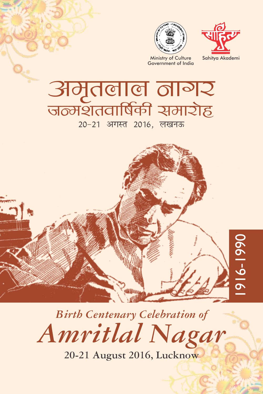



Ministry of Culture Government of India

# अमृतलाल नागर जन्मशतवार्षिकी समारोह 20-21 अगस्त 2016, लखनऊ



**Birth Centenary Celebration of** Amritlal Nagar

20-21 August 2016, Lucknow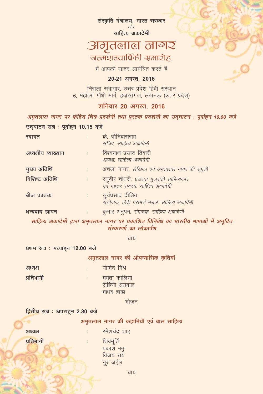संस्कृति मंत्रालय, भारत सरकार और साहित्य अकादेमी

## अमृतलाल नागर जळ्मॅशतवार्षिकी समारोह

में आपको सादर आमंत्रित करते हैं

#### 20-21 अगस्त. 2016

निराला सभागार, उत्तर प्रदेश हिंदी संस्थान 6, महात्मा गाँधी मार्ग, हजरतगंज, लखनऊ (उत्तर प्रदेश)

#### शनिवार 20 अगस्त, 2016

अमृतलाल नागर पर केंद्रित चित्र प्रदर्शनी तथा पुस्तक प्रदर्शनी का उद्घाटन : पूर्वाहन 10.00 बजे उदघाटन सत्र : पूर्वाहन 10.15 बजे

| रवागत               | ÷                    | के. श्रीनिवासराव<br>सचिव, साहित्य अकादेमी                                      |
|---------------------|----------------------|--------------------------------------------------------------------------------|
| अध्यक्षीय व्याख्यान | $1 - 1 - 1$          | विश्वनाथ प्रसाद तिवारी<br>अध्यक्ष, साहित्य अकादेमी                             |
| मुख्य अतिथि         | $\mathbb{R}^n$       | अचला नागर, लेखिका एवं अमृतलाल नागर की सूपूत्री                                 |
| विशिष्ट अतिथि       | $\ddot{\phantom{a}}$ | रघुवीर चौधरी, प्रख्यात गुजराती साहित्यकार<br>एवं महत्तर सदस्य, साहित्य अकादेमी |
| बीज वक्तव्य         | $1 - 1$              | सूर्यप्रसाद दीक्षित<br>संयोजक, हिंदी परामर्श मंडल, साहित्य अकादेमी             |
| धन्यवाद ज्ञापन      |                      | कुमार अनुपम, संपादक, साहित्य अकादेमी                                           |

साहित्य अकादेमी द्वारा अमृतलाल नागर पर प्रकाशित विनिबंध का भारतीय भाषाओं में अनृदित संस्करणों का लोकार्पण

चाय

प्रथम सत्र : मध्याहन 12.00 बजे

#### अमृतलाल नागर की औपन्यासिक कृतियाँ

| अध्यक्ष   | गोविंद मिश्र                               |
|-----------|--------------------------------------------|
| प्रतिभागी | ममता कालिया<br>रोहिणी अग्रवाल<br>माधव हाडा |
|           |                                            |

भोजन

#### द्वितीय सत्र : अपराहन 2.30 बजे

#### अमृतलाल नागर की कहानियाँ एवं बाल साहित्य

| अध्यक्ष   |   | रमेशचंद्र शाह |
|-----------|---|---------------|
| प्रतिभागी | ٠ | शिवमूर्ति     |
|           |   | प्रकाश मन्    |
|           |   | विजय राय      |
|           |   | नर जहीर       |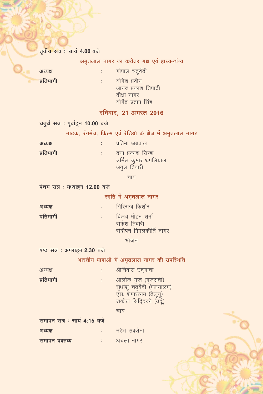#### तृतीय सत्र : सायं 4.00 बजे

#### अमृतलाल नागर का कथेतर गद्य एवं हास्य-व्यंग्य

अध्यक्ष

गोपाल चतुर्वेदी

प्रतिभागी

योगेश प्रवीन

आनंद प्रकाश त्रिपाठी दीक्षा नागर योगेंद्र प्रताप सिंह

#### रविवार, 21 अगस्त 2016

#### चतुर्थ सत्र : पूर्वाहन 10.00 बजे

#### नाटक, रंगमंच, फ़िल्म एवं रेडियो के क्षेत्र में अमृतलाल नागर

| प्रतिभागी<br>दया प्रकाश सिन्हा<br>अतुल तिवारी | अध्यक्ष | $\mathbb{R}^n$ | प्रतिभा अग्रवाल      |
|-----------------------------------------------|---------|----------------|----------------------|
|                                               |         |                | उर्मिल कुमार थपलियाल |

 $\ddot{\cdot}$ 

÷

चाय

पंचम सत्र : मध्याहन 12.00 बजे

स्मृति में अमृतलाल नागर गिरिराज किशोर अध्यक्ष  $\ddot{\phantom{a}}$ प्रतिभागी विजय मोहन शर्मा  $\cdot$ राकेश तिवारी संदीपन विमलकीर्ति नागर

भोजन

षष्ठ सत्र : अपराहन 2.30 बजे

#### भारतीय भाषाओं में अमृतलाल नागर की उपस्थिति

| अध्यक्ष   | श्रीनिवास उद्गाता                            |
|-----------|----------------------------------------------|
| प्रतिभागी | आलोक गुप्त (गुजराती)<br>संधांश चतर्तती (मलगा |

## सुधाशु चतुर्वेदी (मलयाळम्)<br>एस. शेषारत्नम (तेलुगु) शकील सिदिदकी (उर्दू)

चाय

#### समापन सत्र : सायं 4:15 बजे

| अध्यक्ष       |  | नरश सक्सन |
|---------------|--|-----------|
| समापन वक्तव्य |  | अचला नागर |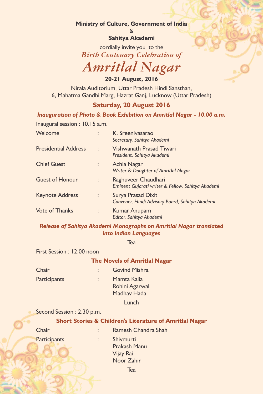#### **Ministry of Culture, Government of India**

&

#### **Sahitya Akademi**

cordially invite you to the *Birth Centenary Celebration of*

## *Amritlal Nagar*

#### **20-21 August, 2016**

Nirala Auditorium, Uttar Pradesh Hindi Sansthan, 6, Mahatma Gandhi Marg, Hazrat Ganj, Lucknow (Uttar Pradesh)

#### **Saturday, 20 August 2016**

*Inauguration of Photo & Book Exhibition on Amritlal Nagar - 10.00 a.m.*

Inaugural session : 10.15 a.m.

| Welcome                     | $\ddot{\cdot}$       | K. Sreenivasarao<br>Secretary, Sahitya Akademi                           |
|-----------------------------|----------------------|--------------------------------------------------------------------------|
| <b>Presidential Address</b> | $\ddot{\cdot}$       | Vishwanath Prasad Tiwari<br>President, Sahitya Akademi                   |
| <b>Chief Guest</b>          | $\ddot{\cdot}$       | Achla Nagar<br>Writer & Daughter of Amritlal Nagar                       |
| <b>Guest of Honour</b>      | $\ddot{\cdot}$       | Raghuveer Chaudhari<br>Eminent Gujarati writer & Fellow, Sahitya Akademi |
| <b>Keynote Address</b>      | $\ddot{\phantom{a}}$ | Surya Prasad Dixit<br>Convener, Hindi Advisory Board, Sahitya Akademi    |
| <b>Vote of Thanks</b>       |                      | Kumar Anupam<br>Editor, Sahitya Akademi                                  |

#### *Release of Sahitya Akademi Monographs on Amritlal Nagar translated into Indian Languages*

Tea

First Session : 12.00 noon

#### **The Novels of Amritlal Nagar**

| Chair        |                | <b>Govind Mishra</b>                         |
|--------------|----------------|----------------------------------------------|
| Participants | $\mathbb{R}^n$ | Mamta Kalia<br>Rohini Agarwal<br>Madhay Hada |
|              |                |                                              |

**Lunch** 

Second Session : 2.30 p.m.

#### **Short Stories & Children's Literature of Amritlal Nagar**

Chair : Ramesh Chandra Shah Participants : Shivmurti Prakash Manu Vijay Rai Noor Zahir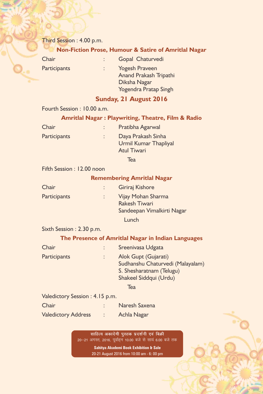Third Session : 4.00 p.m.

#### **Non-Fiction Prose, Humour & Satire of Amritlal Nagar**

| Chair               | $\ddot{\phantom{a}}$ | Gopal Chaturvedi                                                                                       |
|---------------------|----------------------|--------------------------------------------------------------------------------------------------------|
| <b>Participants</b> |                      | <b>Yogesh Praveen</b><br><b>Anand Prakash Tripathi</b><br>Diksha Nagar<br><b>Yogendra Pratap Singh</b> |
|                     |                      |                                                                                                        |

#### **Sunday, 21 August 2016**

#### Fourth Session : 10.00 a.m.

#### **Amritlal Nagar : Playwriting, Theatre, Film & Radio**

| Chair        | Pratibha Agarwal                                                  |
|--------------|-------------------------------------------------------------------|
| Participants | Daya Prakash Sinha<br>Urmil Kumar Thapliyal<br><b>Atul Tiwari</b> |

Tea

#### Fifth Session : 12.00 noon

#### **Remembering Amritlal Nagar**

| Chair               | Giriraj Kishore                                                          |
|---------------------|--------------------------------------------------------------------------|
| <b>Participants</b> | Vijay Mohan Sharma<br><b>Rakesh Tiwari</b><br>Sandeepan Vimalkirti Nagar |
|                     | Lunch                                                                    |

#### Sixth Session : 2.30 p.m.

#### **The Presence of Amritlal Nagar in Indian Languages**

| Chair               | Sreenivasa Udgata                                                                                              |
|---------------------|----------------------------------------------------------------------------------------------------------------|
| <b>Participants</b> | Alok Gupt (Gujarati)<br>Sudhanshu Chaturvedi (Malayalam)<br>S. Shesharatnam (Telugu)<br>Shakeel Siddqui (Urdu) |
|                     |                                                                                                                |

**Tea** 

#### Valedictory Session : 4.15 p.m.

| Chair                      | Naresh Saxena |
|----------------------------|---------------|
| <b>Valedictory Address</b> | Achla Nagar   |

साहित्य अकादेमी पुस्तक प्रदर्शनी एवं बिक्री 20-21 अगस्त, 2016, पूर्वाहन 10.00 बजे से सायं 6.00 बजे तक

> **Sahitya Akademi Book Exhibition & Sale** 20-21 August 2016 from 10:00 am - 6: 00 pm